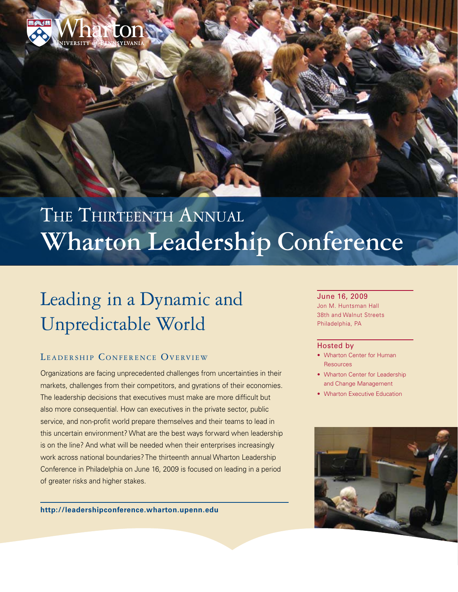

# THE THIRTEENTH ANNUAL **Wharton Leadership Conference**

## Leading in a Dynamic and Unpredictable World

## LEADERSHIP CONFERENCE OVERVIEW

Organizations are facing unprecedented challenges from uncertainties in their markets, challenges from their competitors, and gyrations of their economies. The leadership decisions that executives must make are more difficult but also more consequential. How can executives in the private sector, public service, and non-profit world prepare themselves and their teams to lead in this uncertain environment? What are the best ways forward when leadership is on the line? And what will be needed when their enterprises increasingly work across national boundaries? The thirteenth annual Wharton Leadership Conference in Philadelphia on June 16, 2009 is focused on leading in a period of greater risks and higher stakes.

**<http://leadershipconference.wharton.upenn.edu>**

#### June 16, 2009

Jon M. Huntsman Hall 38th and Walnut Streets Philadelphia, PA

#### Hosted by

- Wharton Center for Human Resources
- Wharton Center for Leadership and Change Management
- Wharton Executive Education